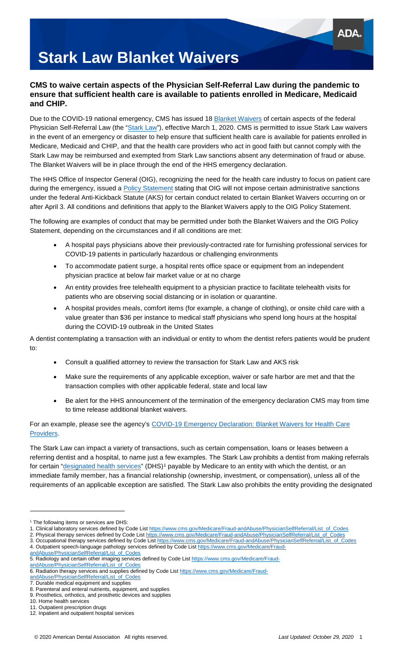# **Stark Law Blanket Waivers**

### **CMS to waive certain aspects of the Physician Self-Referral Law during the pandemic to ensure that sufficient health care is available to patients enrolled in Medicare, Medicaid and CHIP.**

Due to the COVID-19 national emergency, CMS has issued 18 [Blanket Waivers](https://www.cms.gov/files/document/covid-19-blanket-waivers-section-1877g.pdf) of certain aspects of the federal Physician Self-Referral Law (the ["Stark Law"](https://www.cms.gov/Medicare/Fraud-and-Abuse/PhysicianSelfReferral)), effective March 1, 2020. CMS is permitted to issue Stark Law waivers in the event of an emergency or disaster to help ensure that sufficient health care is available for patients enrolled in Medicare, Medicaid and CHIP, and that the health care providers who act in good faith but cannot comply with the Stark Law may be reimbursed and exempted from Stark Law sanctions absent any determination of fraud or abuse. The Blanket Waivers will be in place through the end of the HHS emergency declaration.

The HHS Office of Inspector General (OIG), recognizing the need for the health care industry to focus on patient care during the emergency, issued a [Policy Statement](https://oig.hhs.gov/coronavirus/OIG-Policy-Statement-4.3.20.pdf?_sm_au_=iVVWJjJW6Dn1Z5HMJ8MfKK7vWLCsW) stating that OIG will not impose certain administrative sanctions under the federal Anti-Kickback Statute (AKS) for certain conduct related to certain Blanket Waivers occurring on or after April 3. All conditions and definitions that apply to the Blanket Waivers apply to the OIG Policy Statement.

The following are examples of conduct that may be permitted under both the Blanket Waivers and the OIG Policy Statement, depending on the circumstances and if all conditions are met:

- A hospital pays physicians above their previously-contracted rate for furnishing professional services for COVID-19 patients in particularly hazardous or challenging environments
- To accommodate patient surge, a hospital rents office space or equipment from an independent physician practice at below fair market value or at no charge
- An entity provides free telehealth equipment to a physician practice to facilitate telehealth visits for patients who are observing social distancing or in isolation or quarantine.
- A hospital provides meals, comfort items (for example, a change of clothing), or onsite child care with a value greater than \$36 per instance to medical staff physicians who spend long hours at the hospital during the COVID-19 outbreak in the United States

A dentist contemplating a transaction with an individual or entity to whom the dentist refers patients would be prudent to:

- Consult a qualified attorney to review the transaction for Stark Law and AKS risk
- Make sure the requirements of any applicable exception, waiver or safe harbor are met and that the transaction complies with other applicable federal, state and local law
- Be alert for the HHS announcement of the termination of the emergency declaration CMS may from time to time release additional blanket waivers.

#### For an example, please see the agency's [COVID-19 Emergency Declaration: Blanket Waivers for Health Care](https://www.cms.gov/files/document/summary-covid-19-emergency-declaration-waivers.pdf)  [Providers.](https://www.cms.gov/files/document/summary-covid-19-emergency-declaration-waivers.pdf)

The Stark Law can impact a variety of transactions, such as certain compensation, loans or leases between a referring dentist and a hospital, to name just a few examples. The Stark Law prohibits a dentist from making referrals for certain ["designated health services"](https://www.cms.gov/Medicare/Fraud-and-Abuse/PhysicianSelfReferral) (DHS)<sup>[1](#page-0-0)</sup> payable by Medicare to an entity with which the dentist, or an immediate family member, has a financial relationship (ownership, investment, or compensation), unless all of the requirements of an applicable exception are satisfied. The Stark Law also prohibits the entity providing the designated

[andAbuse/PhysicianSelfReferral/List\\_of\\_Codes](https://www.cms.gov/Medicare/Fraud-andAbuse/PhysicianSelfReferral/List_of_Codes)

-

<span id="page-0-0"></span><sup>&</sup>lt;sup>1</sup> The following items or services are DHS:

<sup>1.</sup> Clinical laboratory services defined by Code List [https://www.cms.gov/Medicare/Fraud-andAbuse/PhysicianSelfReferral/List\\_of\\_Codes](https://www.cms.gov/Medicare/Fraud-andAbuse/PhysicianSelfReferral/List_of_Codes)

<sup>2.</sup> Physical therapy services defined by Code List [https://www.cms.gov/Medicare/Fraud-andAbuse/PhysicianSelfReferral/List\\_of\\_Codes](https://www.cms.gov/Medicare/Fraud-andAbuse/PhysicianSelfReferral/List_of_Codes) 3. Occupational therapy services defined by Code List [https://www.cms.gov/Medicare/Fraud-andAbuse/PhysicianSelfReferral/List\\_of\\_Codes](https://www.cms.gov/Medicare/Fraud-andAbuse/PhysicianSelfReferral/List_of_Codes)

<sup>4.</sup> Outpatient speech-language pathology services defined by Code List https://www.cms.gov/Medicare/Fraud-<br>andAbuse/PhysicianSelfReferral/List\_of\_Codes

Abuse/PhysicianSelfReferral/List\_of

<sup>5.</sup> Radiology and certain other imaging services defined by Code Lis[t https://www.cms.gov/Medicare/Fraud-](https://www.cms.gov/Medicare/Fraud-andAbuse/PhysicianSelfReferral/List_of_Codes)

<sup>6.</sup> Radiation therapy services and supplies defined by Code List [https://www.cms.gov/Medicare/Fraud-](https://www.cms.gov/Medicare/Fraud-andAbuse/PhysicianSelfReferral/List_of_Codes)

[andAbuse/PhysicianSelfReferral/List\\_of\\_Codes](https://www.cms.gov/Medicare/Fraud-andAbuse/PhysicianSelfReferral/List_of_Codes)

<sup>7.</sup> Durable medical equipment and supplies 8. Parenteral and enteral nutrients, equipment, and supplies

<sup>9.</sup> Prosthetics, orthotics, and prosthetic devices and supplies

<sup>10.</sup> Home health services

<sup>11.</sup> Outpatient prescription drugs

<sup>12.</sup> Inpatient and outpatient hospital services